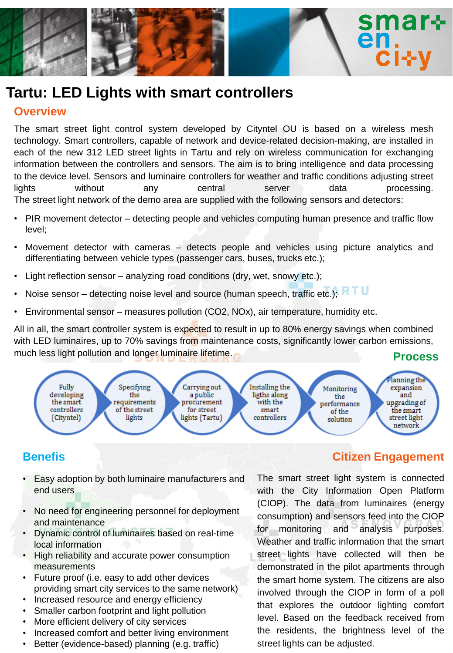

# **Tartu: LED Lights with smart controllers**

#### **Overview**

The smart street light control system developed by Cityntel OU is based on a wireless mesh technology. Smart controllers, capable of network and device-related decision-making, are installed in each of the new 312 LED street lights in Tartu and rely on wireless communication for exchanging information between the controllers and sensors. The aim is to bring intelligence and data processing to the device level. Sensors and luminaire controllers for weather and traffic conditions adjusting street lights without any central server data processing. The street light network of the demo area are supplied with the following sensors and detectors:

- PIR movement detector detecting people and vehicles computing human presence and traffic flow level;
- Movement detector with cameras detects people and vehicles using picture analytics and differentiating between vehicle types (passenger cars, buses, trucks etc.);
- Light reflection sensor analyzing road conditions (dry, wet, snowy etc.);
- Noise sensor detecting noise level and source (human speech, traffic etc.); RTU
- Environmental sensor measures pollution (CO2, NOx), air temperature, humidity etc.

All in all, the smart controller system is expected to result in up to 80% energy savings when combined with LED luminaires, up to 70% savings from maintenance costs, significantly lower carbon emissions, much less light pollution and longer luminaire lifetime. **Process** 



# **Benefis**

- Easy adoption by both luminaire manufacturers and end users
- No need for engineering personnel for deployment and maintenance
- Dynamic control of luminaires based on real-time local information
- High reliability and accurate power consumption measurements
- Future proof (i.e. easy to add other devices providing smart city services to the same network)
- Increased resource and energy efficiency
- Smaller carbon footprint and light pollution
- More efficient delivery of city services
- Increased comfort and better living environment
- Better (evidence-based) planning (e.g. traffic)

# **Citizen Engagement**

The smart street light system is connected with the City Information Open Platform (CIOP). The data from luminaires (energy consumption) and sensors feed into the CIOP for monitoring and analysis purposes. Weather and traffic information that the smart street lights have collected will then be demonstrated in the pilot apartments through the smart home system. The citizens are also involved through the CIOP in form of a poll that explores the outdoor lighting comfort level. Based on the feedback received from the residents, the brightness level of the street lights can be adjusted.